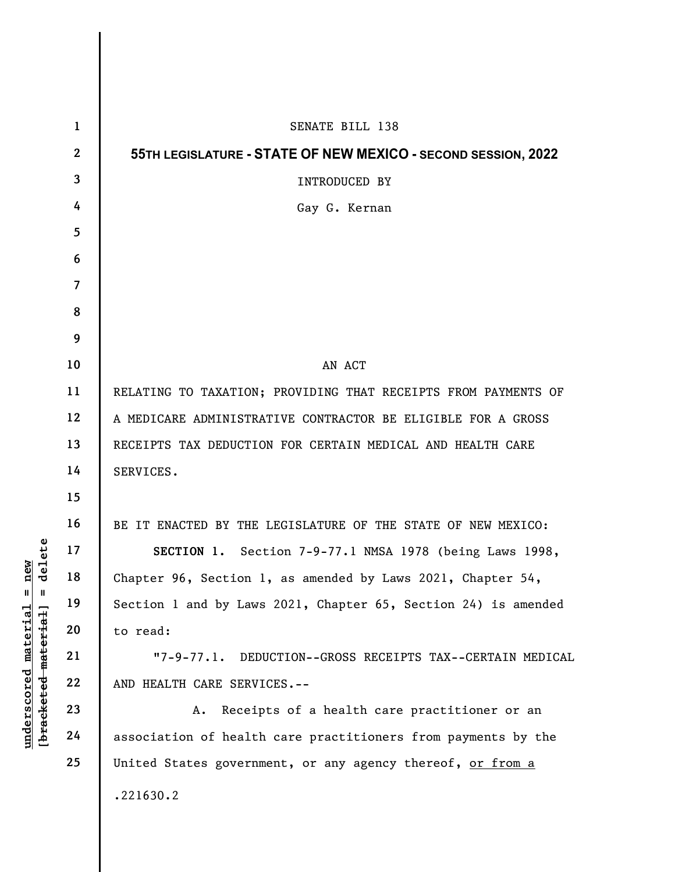|                                                             | $\mathbf{1}$   | SENATE BILL 138                                                |
|-------------------------------------------------------------|----------------|----------------------------------------------------------------|
|                                                             | $\mathbf{2}$   | 55TH LEGISLATURE - STATE OF NEW MEXICO - SECOND SESSION, 2022  |
|                                                             | 3              | INTRODUCED BY                                                  |
|                                                             | 4              | Gay G. Kernan                                                  |
|                                                             | 5              |                                                                |
|                                                             | 6              |                                                                |
|                                                             | $\overline{7}$ |                                                                |
|                                                             | 8              |                                                                |
|                                                             | 9              |                                                                |
|                                                             | 10             | AN ACT                                                         |
|                                                             | 11             | RELATING TO TAXATION; PROVIDING THAT RECEIPTS FROM PAYMENTS OF |
|                                                             | 12             | A MEDICARE ADMINISTRATIVE CONTRACTOR BE ELIGIBLE FOR A GROSS   |
|                                                             | 13             | RECEIPTS TAX DEDUCTION FOR CERTAIN MEDICAL AND HEALTH CARE     |
|                                                             | 14             | SERVICES.                                                      |
|                                                             | 15             |                                                                |
|                                                             | 16             | BE IT ENACTED BY THE LEGISLATURE OF THE STATE OF NEW MEXICO:   |
| new<br>delete                                               | 17             | SECTION 1. Section 7-9-77.1 NMSA 1978 (being Laws 1998,        |
|                                                             | 18             | Chapter 96, Section 1, as amended by Laws 2021, Chapter 54,    |
| $\mathsf{I}$<br>$\mathbf{I}$                                | 19             | Section 1 and by Laws 2021, Chapter 65, Section 24) is amended |
|                                                             | 20             | to read:                                                       |
|                                                             | 21             | $"7-9-77.1.$<br>DEDUCTION--GROSS RECEIPTS TAX--CERTAIN MEDICAL |
| [ <del>bracketed material</del> ]<br>$underscored$ material | 22             | AND HEALTH CARE SERVICES.--                                    |
|                                                             | 23             | Receipts of a health care practitioner or an<br>Α.             |
|                                                             | 24             | association of health care practitioners from payments by the  |
|                                                             | 25             | United States government, or any agency thereof, or from a     |
|                                                             |                | .221630.2                                                      |
|                                                             |                |                                                                |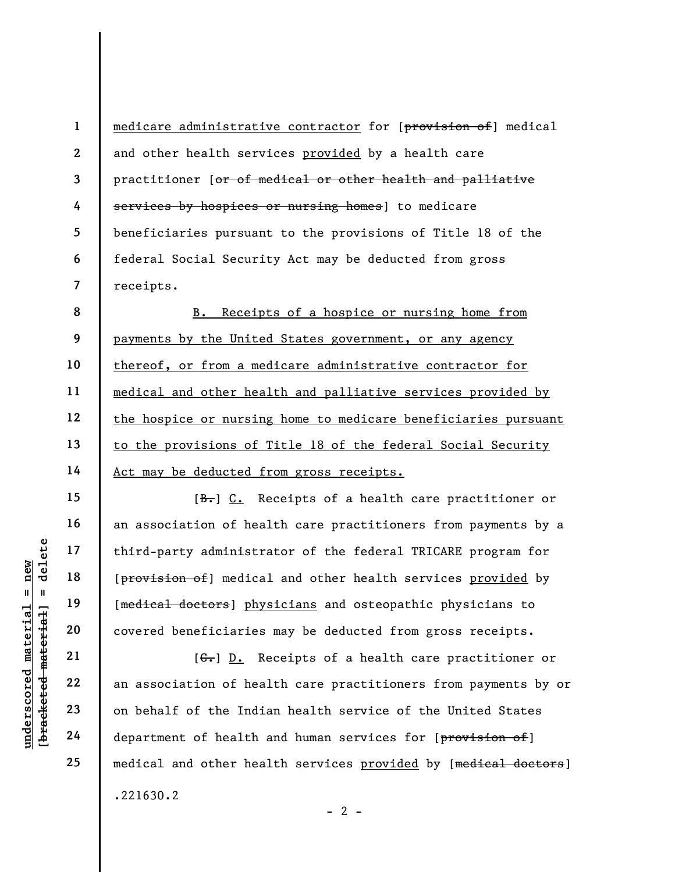medicare administrative contractor for [provision of] medical and other health services provided by a health care practitioner [or of medical or other health and palliative services by hospices or nursing homes] to medicare beneficiaries pursuant to the provisions of Title 18 of the federal Social Security Act may be deducted from gross receipts.

8 9 10 11 12 13 14 B. Receipts of a hospice or nursing home from payments by the United States government, or any agency thereof, or from a medicare administrative contractor for medical and other health and palliative services provided by the hospice or nursing home to medicare beneficiaries pursuant to the provisions of Title 18 of the federal Social Security Act may be deducted from gross receipts.

underscored material = new [bracketed material] = delete [B.] C. Receipts of a health care practitioner or an association of health care practitioners from payments by a third-party administrator of the federal TRICARE program for [provision of] medical and other health services provided by [medical doctors] physicians and osteopathic physicians to covered beneficiaries may be deducted from gross receipts.

[ $G_r$ ] D. Receipts of a health care practitioner or an association of health care practitioners from payments by or on behalf of the Indian health service of the United States department of health and human services for [provision of] medical and other health services provided by [medical doctors] .221630.2

 $- 2 -$ 

1

2

3

4

5

6

7

15

16

17

18

19

20

21

22

23

24

25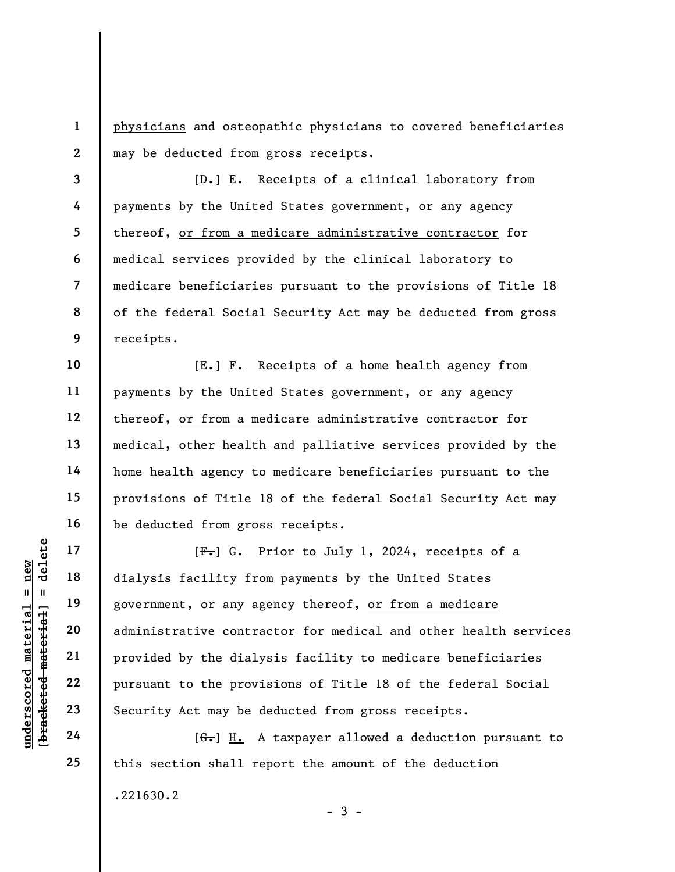physicians and osteopathic physicians to covered beneficiaries may be deducted from gross receipts.

3 4 5 6 7 8 9  $[\frac{D-1}{2}]$  E. Receipts of a clinical laboratory from payments by the United States government, or any agency thereof, or from a medicare administrative contractor for medical services provided by the clinical laboratory to medicare beneficiaries pursuant to the provisions of Title 18 of the federal Social Security Act may be deducted from gross receipts.

10 11 12 13 14 15 16  $[E-] F.$  Receipts of a home health agency from payments by the United States government, or any agency thereof, or from a medicare administrative contractor for medical, other health and palliative services provided by the home health agency to medicare beneficiaries pursuant to the provisions of Title 18 of the federal Social Security Act may be deducted from gross receipts.

UNDER 17<br>
UNDER 18<br>
UNDER 19<br>
UNDER 19<br>
UNDER 19<br>
UNDER 19<br>
20<br>
21<br>
PUNDER 22<br>
PUNDER 19<br>
22<br>
PUNDER 19<br>
PUNDER 19<br>
PUNDER 19<br>
PUNDER 19<br>
PUNDER 19<br>
PUNDER 19<br>
PUNDER 19<br>
PUNDER 19<br>
PUNDER 19<br>
PUNDER 19<br>
DUNDER 19<br>
DUNDER [F.] G. Prior to July 1, 2024, receipts of a dialysis facility from payments by the United States government, or any agency thereof, or from a medicare administrative contractor for medical and other health services provided by the dialysis facility to medicare beneficiaries pursuant to the provisions of Title 18 of the federal Social Security Act may be deducted from gross receipts.

 $[G<sub>r</sub>]$  H. A taxpayer allowed a deduction pursuant to this section shall report the amount of the deduction .221630.2  $-3 -$ 

17

18

19

20

21

22

23

24

25

1

2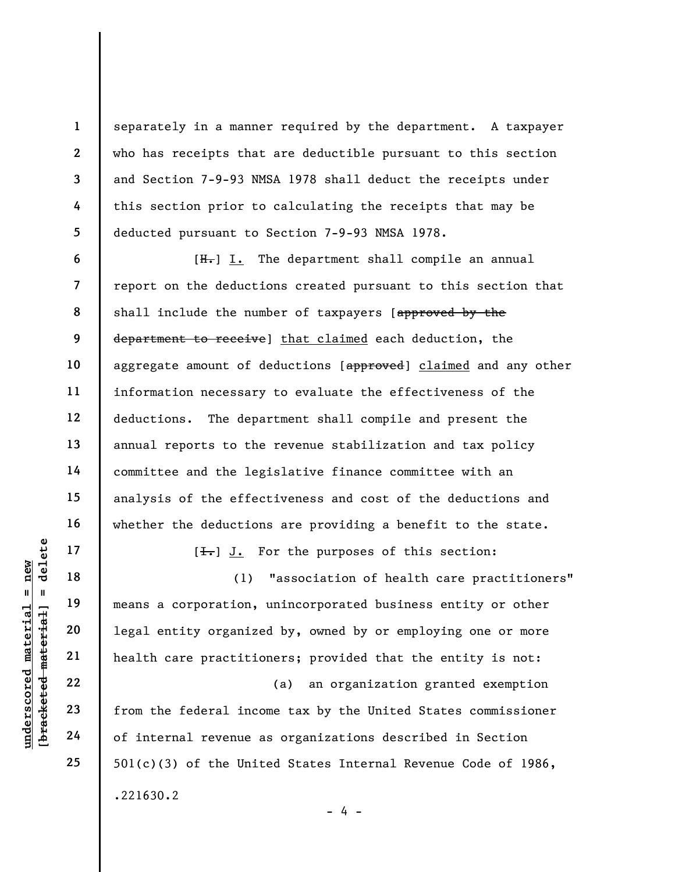separately in a manner required by the department. A taxpayer who has receipts that are deductible pursuant to this section and Section 7-9-93 NMSA 1978 shall deduct the receipts under this section prior to calculating the receipts that may be deducted pursuant to Section 7-9-93 NMSA 1978.

 $[H<sub>1</sub>]$  I. The department shall compile an annual report on the deductions created pursuant to this section that shall include the number of taxpayers [approved by the department to receive] that claimed each deduction, the aggregate amount of deductions [approved] claimed and any other information necessary to evaluate the effectiveness of the deductions. The department shall compile and present the annual reports to the revenue stabilization and tax policy committee and the legislative finance committee with an analysis of the effectiveness and cost of the deductions and whether the deductions are providing a benefit to the state.

 $[\frac{1}{\sqrt{1}}]$  J. For the purposes of this section:

underscored material = new [bracketed material] = delete (1) "association of health care practitioners" means a corporation, unincorporated business entity or other legal entity organized by, owned by or employing one or more health care practitioners; provided that the entity is not:

(a) an organization granted exemption from the federal income tax by the United States commissioner of internal revenue as organizations described in Section 501(c)(3) of the United States Internal Revenue Code of 1986, .221630.2

1

2

3

4

5

6

7

8

9

10

11

12

13

14

15

16

17

18

19

20

21

22

23

24

25

 $- 4 -$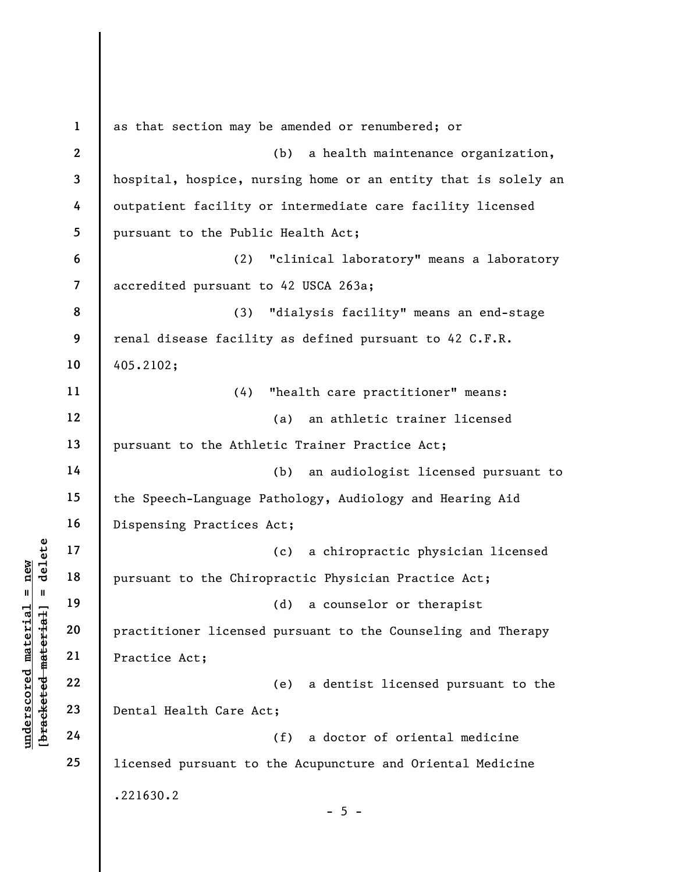UNDER THE MATHEM THE PRESENT OF THE MATHEM THE MATHEM PRECISION OF THE MATHEM PRECISE OF THE MATHEM PRECISE OF THE MATHEM MATHEM PRECISE OF THE MATHEM MATHEM MATHEM MATHEM MATHEM MATHEM MATHEM MATHEM MATHEM MATHEM MATHEM M 1 2 3 4 5 6 7 8 9 10 11 12 13 14 15 16 17 18 19 20 21 22 23 24 25 as that section may be amended or renumbered; or (b) a health maintenance organization, hospital, hospice, nursing home or an entity that is solely an outpatient facility or intermediate care facility licensed pursuant to the Public Health Act; (2) "clinical laboratory" means a laboratory accredited pursuant to 42 USCA 263a; (3) "dialysis facility" means an end-stage renal disease facility as defined pursuant to 42 C.F.R. 405.2102; (4) "health care practitioner" means: (a) an athletic trainer licensed pursuant to the Athletic Trainer Practice Act; (b) an audiologist licensed pursuant to the Speech-Language Pathology, Audiology and Hearing Aid Dispensing Practices Act; (c) a chiropractic physician licensed pursuant to the Chiropractic Physician Practice Act; (d) a counselor or therapist practitioner licensed pursuant to the Counseling and Therapy Practice Act; (e) a dentist licensed pursuant to the Dental Health Care Act; (f) a doctor of oriental medicine licensed pursuant to the Acupuncture and Oriental Medicine .221630.2  $- 5 -$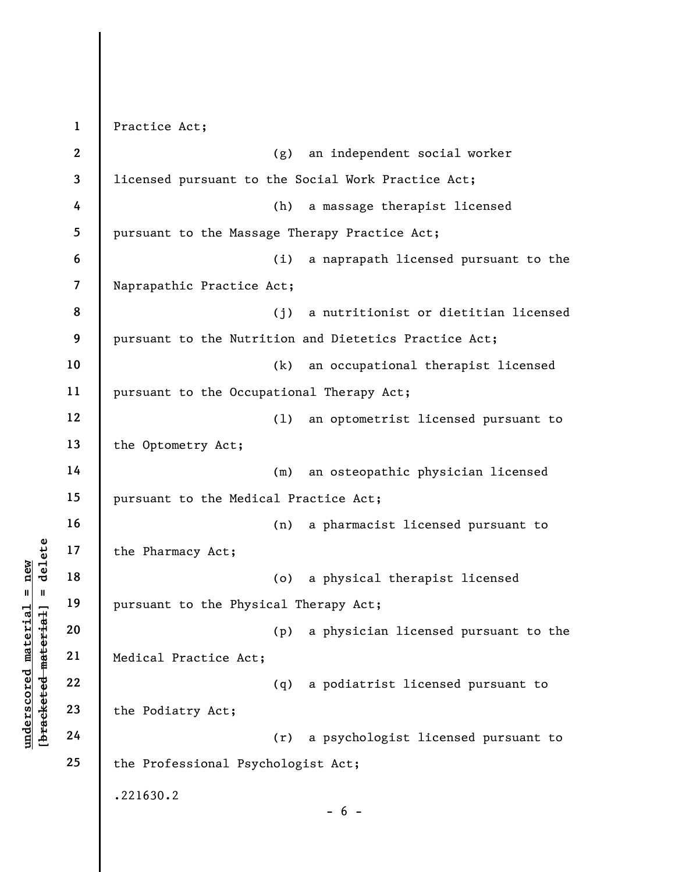underscored material material end and the Pharmacy Act;<br>  $\begin{bmatrix}\n1 & 1 & 19 \\
0 & 1 & 19 \\
0 & 20 & 21 \\
0 & 0 & 22 \\
0 & 0 & 22 \\
0 & 0 & 23 \\
0 & 0 & 24\n\end{bmatrix}$  Medical Practice Act;<br>  $\begin{bmatrix}\n2 & 2 & 2 \\
2 & 2 & 2 \\
2 & 2 & 2 \\
0 & 2 & 2\n\end{bmatrix}$  the Podiatry A 1 2 3 4 5 6 7 8 9 10 11 12 13 14 15 16 17 18 19 20 21 22 23 24 25 Practice Act; (g) an independent social worker licensed pursuant to the Social Work Practice Act; (h) a massage therapist licensed pursuant to the Massage Therapy Practice Act; (i) a naprapath licensed pursuant to the Naprapathic Practice Act; (j) a nutritionist or dietitian licensed pursuant to the Nutrition and Dietetics Practice Act; (k) an occupational therapist licensed pursuant to the Occupational Therapy Act; (l) an optometrist licensed pursuant to the Optometry Act; (m) an osteopathic physician licensed pursuant to the Medical Practice Act; (n) a pharmacist licensed pursuant to the Pharmacy Act; (o) a physical therapist licensed pursuant to the Physical Therapy Act; (p) a physician licensed pursuant to the Medical Practice Act; (q) a podiatrist licensed pursuant to the Podiatry Act; (r) a psychologist licensed pursuant to the Professional Psychologist Act; .221630.2  $- 6 -$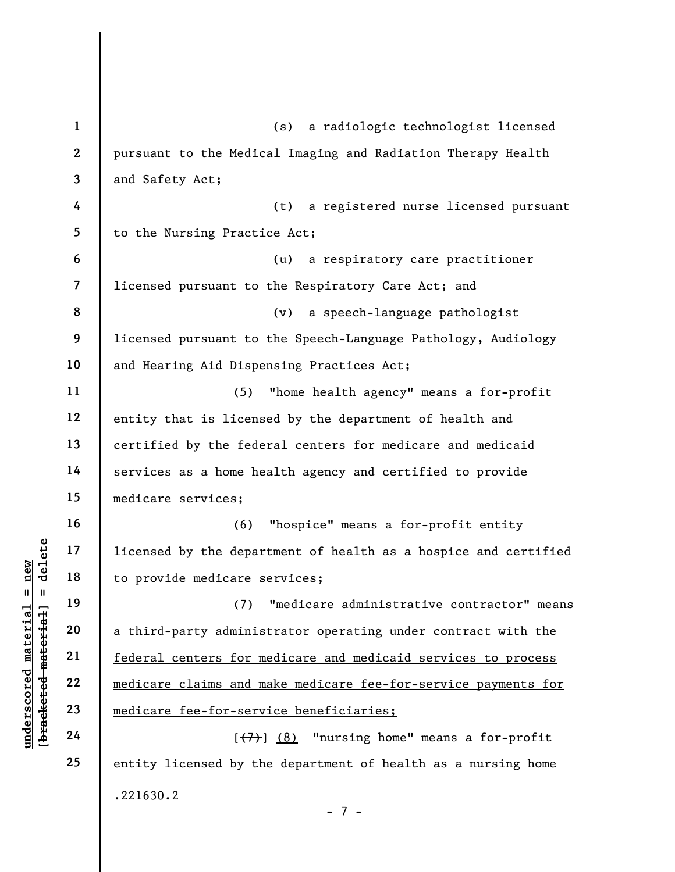|                                 | $\mathbf{1}$            | a radiologic technologist licensed<br>(s)                       |
|---------------------------------|-------------------------|-----------------------------------------------------------------|
|                                 | $\overline{2}$          | pursuant to the Medical Imaging and Radiation Therapy Health    |
|                                 | $\overline{3}$          | and Safety Act;                                                 |
|                                 | 4                       | a registered nurse licensed pursuant<br>(t)                     |
|                                 | 5                       | to the Nursing Practice Act;                                    |
|                                 | $\boldsymbol{6}$        | a respiratory care practitioner<br>(u)                          |
|                                 | $\overline{\mathbf{z}}$ | licensed pursuant to the Respiratory Care Act; and              |
|                                 | 8                       | a speech-language pathologist<br>(v)                            |
|                                 | 9                       | licensed pursuant to the Speech-Language Pathology, Audiology   |
|                                 | 10                      | and Hearing Aid Dispensing Practices Act;                       |
|                                 | 11                      | (5)<br>"home health agency" means a for-profit                  |
|                                 | 12                      | entity that is licensed by the department of health and         |
|                                 | 13                      | certified by the federal centers for medicare and medicaid      |
|                                 | 14                      | services as a home health agency and certified to provide       |
|                                 | 15                      | medicare services;                                              |
|                                 | 16                      | "hospice" means a for-profit entity<br>(6)                      |
| delete                          | 17                      | licensed by the department of health as a hospice and certified |
| new                             | 18                      | to provide medicare services;                                   |
| H<br>Ш                          | 19                      | (7)<br><u>"medicare administrative contractor" means</u>        |
| material<br>[bracketed material | 20                      | a third-party administrator operating under contract with the   |
|                                 | 21                      | federal centers for medicare and medicaid services to process   |
| underscored                     | 22                      | medicare claims and make medicare fee-for-service payments for  |
|                                 | 23                      | medicare fee-for-service beneficiaries;                         |
|                                 | 24                      | "nursing home" means a for-profit<br>[ (7) ] (8)                |
|                                 | 25                      | entity licensed by the department of health as a nursing home   |
|                                 |                         | .221630.2                                                       |